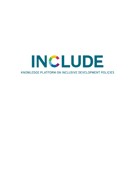# INCLUDE KNOWLEDGE PLATFORM ON INCLUSIVE DEVELOPMENT POLICIES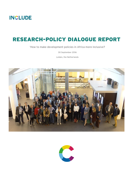# RESEARCH-POLICY DIALOGUE REPORT

'How to make development policies in Africa more inclusive?

30 September 2016

Leiden, the Netherlands



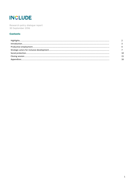Research-policy dialogue report 30 September 2016

#### **Contents**

| $\label{prop:nonlinear} \textbf{Introduction} \textcolor{red}{\textbf{.\textbf{1}}}\textbf{.\textbf{1}} \textbf{.} \textbf{.} \textbf{.} \textbf{.} \textbf{.} \textbf{.} \textbf{.} \textbf{.} \textbf{.} \textbf{.} \textbf{.} \textbf{.} \textbf{.} \textbf{.} \textbf{.} \textbf{.} \textbf{.} \textbf{.} \textbf{.} \textbf{.} \textbf{.} \textbf{.} \textbf{.} \textbf{.} \textbf{.} \textbf{.} \textbf{.} \textbf{.} \textbf{.} \textbf{.}$ |  |
|----------------------------------------------------------------------------------------------------------------------------------------------------------------------------------------------------------------------------------------------------------------------------------------------------------------------------------------------------------------------------------------------------------------------------------------------------|--|
|                                                                                                                                                                                                                                                                                                                                                                                                                                                    |  |
|                                                                                                                                                                                                                                                                                                                                                                                                                                                    |  |
|                                                                                                                                                                                                                                                                                                                                                                                                                                                    |  |
|                                                                                                                                                                                                                                                                                                                                                                                                                                                    |  |
|                                                                                                                                                                                                                                                                                                                                                                                                                                                    |  |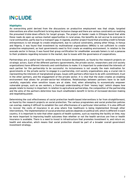#### **Highlights**

An overarching point derived from the discussions on productive employment was that single, targeted interventions are often insufficient to bring about inclusive change and there are various constraints on realizing the presumed trickle-down effects for target groups. The project on feeder roads in Ethiopia found that while these roads do open up various market opportunities in rural areas, the benefits do not accrue to everyone in rural communities, partly due to a transport gap. In Uganda, another project found that providing credit to female entrepreneurs is not enough to create employment, due to cultural constraints, among other things. In Kenya and Nigeria, it was found that investment by multinational organizations (MNOs) is not sufficient to create productive employment, as host governments need to first create an enabling environment. In relation to the avocado sector in Kenya, it was found that group certification for smallholder avocado famers is not a panacea to their problems regarding inclusion in the market, due to issues with the governance of cooperatives.

Partnerships are a useful tool for achieving more inclusive development, as found by the research projects on strategic actors. Each of the different partners (governments, the private sector, researchers and civil society organizations) have different interests and contributions to make. It is important to understand the interests of each partner for the partnership to be successful. As inclusiveness is not usually the main motivation for governments or the private sector to engage in a partnership, civil society organizations play a crucial role in representing the interests of marginalized groups. Issues with partners often have to do with commitment, trust in the other partners, and the engagement of the private sector. It is vital that the state creates an enabling environment that allows for private-sector-led initiatives. Relationships between partners have to be built carefully, especially when sensitive issues are at stake. And, when attempting to economically empower vulnerable groups, such as sex workers, a thorough understanding of their 'money logic' (which shapes how people relate to money) is important. In relation to agricultural partnerships, the composition of the partnership and the aims of the partners determine how much smallholders benefit in terms of increased decision-making and negotiating power.

Determining the cost effectiveness of social protection health-based interventions is far from straightforward, as found by the research projects on social protection. The various programmes and social protection policies can overlap, making it difficult to establish the cost effectiveness of a particular intervention. It is also difficult to recover the costs of insurance in an area where free healthcare is being implemented through other interventions. The implementation of social protection policies depends on political will, which is different in each country. It is important to note that other aspects of health systems, such as reaching the facility on time, may be more important to improving health outcomes than whether or not the health services are free or health insurance is available. There is a need to invest in infrastructure that promotes investment in, and return on, health and education, which means that social protection should be part of a broader overall government investment strategy.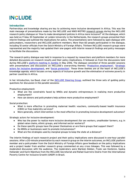#### Introduction

Partnerships and knowledge sharing are key to achieving more inclusive development in Africa. This was the main message of presentations made by the INCLUDE and NWO-WOTRO [research groups](http://includeplatform.net/research-groups/) during the INCLUDE research-policy dialogue on 'How to make development policies in Africa more inclusive?' At the dialogue, which was held on Friday 30 September at Leiden University in the Netherlands, the research groups presented their interim findings and outlined the implications for policy. The presentations were followed by open dialogue with policymakers, researchers and INCLUDE platform members. More than 60 people participated in the dialogue, including 10 senior officials from the Dutch Ministry of Foreign Affairs. Thirteen INCLUDE research groups were represented and the majority had updated their one-pagers with interim research findings and policy messages to facilitate the discussions.

The research-policy dialogue was held in response to a request by researchers and platform members for more detailed discussions on research results and their policy implications. It followed on from the discussions held during INCLUDE's [platform meeting in Zambia](http://includeplatform.net/downloads/report-session-include-research-groups/) in May 2016. The dialogue consisted of three parallel sessions with presentations and discussions on INCLUDE's overarching themes: '[Productive employment](http://includeplatform.net/theme/productive-employment/)', '[Strategic](http://includeplatform.net/theme/strategic-actors/)  [actors for inclusive development,](http://includeplatform.net/theme/strategic-actors/) and '[Social protection](http://includeplatform.net/theme/social-protection/)'. These three themes are at the heart of INCLUDE's knowledge agenda, which focuses on key aspects of inclusive growth and the elimination of extreme poverty in partner countries in Africa.

In her introduction, Isa Baud, chair of the [INCLUDE Steering](http://includeplatform.net/about/) Group, outlined the three sets of guiding policy questions for discussion in the parallel sessions:

Productive employment:

- What are the constraints faced by MNOs and dynamic entrepreneurs in realizing more productive employment?
- How can donors and policymakers help achieve more productive employment?

Social protection:

- What is more effective in promoting maternal health: vouchers, community-based health insurance (CBHI) or free maternity services?
- More generally, which intervention is the most effective in promoting inclusive development outcomes?

Strategic actors for inclusive development:

- Who has the power to realize more inclusive development (for sex workers, smallholder farmers, e.g. in global value chains, ethnic groups, and informal sector workers)?
- Do these specific groups have the power themselves or are there groups that support them?
- Do MNOs or businesses want to promote inclusiveness?
- What are the strategies used by marginal groups to keep the state at a distance?

The interim findings of each research project and their policy implications were discussed in one-hour parallel sessions. After a 20-minute presentation by each research group on the interim outcomes, an INCLUDE platform member and a policymaker from the Dutch Ministry of Foreign Affairs gave feedback on the policy implications and a project leader from another research group commented on any cross linkages. This was followed by a moderated discussion with the audience. The moderators were Marleen Dekker, Frank van Kesteren, Saskia Hollander and Karin Nijenhuis from the INCLUDE Secretariat and Rafael Guerreiro Osório from the International Poverty Centre for Inclusive Growth (UNDP) in Brazil.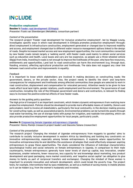#### Productive employment

Session 1: [Feeder road development \(Ethiopia\)](http://www.includeplatform.net/downloads/interim-findings-feeder-road-development/) *Presenter:* Frank van Steenbergen (MetaMeta, consortium partner)

#### *Content of the presentation*

The research project 'Feeder road development for inclusive productive employment', led by Maggie Leung, investigates specific ways in which road development in Ethiopia promotes productive employment through: direct employment in infrastructure construction, employment generated or changed due to improved mobility and access, and employment changed due to different water resource management options linked to the design of roads. Despite increased market access and new employment opportunities, the rural communities connected by new feeder roads remain largely a 'walking world', with feeder roads used mainly to obtain social services such as education and health. Local buses and cars are too expensive, so people use a three-wheeled vehicle (Bajaj) from India. Investing in roads is not enough to improve the livelihoods of the poor, who have few resources, entitlements and opportunities. Land lost to road construction can harm the environment (e.g. through dust, flooding, erosion), affecting agricultural production and livelihoods. The data does not suggest any clear link between road construction and improvements in equality.

#### *Feedback*

It is important to know which stakeholders are involved in making decisions on constructing roads: the government, donors, or the private sector. Also, the project needs to identify the short- and long-term consequences for employment and livelihoods among affected communities (how people are selected to work in road construction, displacement and compensation for relocated persons). Attention needs to be given to how roads affect local land rights, gender relations, youth employment and the environment. The governance of road construction, including the role of the Ethiopian government and donors and contractors, is relevant to finding ways to increase the positive external effects of new feeder roads.

#### *Answers to the guiding policy questions*

The high price of transport is an important constraint, which hinders dynamic entrepreneurs from realizing more productive employment. Policies should be developed to provide more affordable means of mobility. Donors and policymakers need to involve all stakeholders, particularly the local community, in the decision-making process for constructing roads, as well as associated projects. Environmental problems can be turned into assets through road water harvesting, the use of storage tanks with pumps for irrigation, and roadside tree planting, which can also provide productive employment opportunities for local people, particularly youth.

#### Session 2: [Empowering female Ugandan entrepreneurs \(Uganda\)](http://www.includeplatform.net/downloads/interim-findings-empowering-female-ugandan-entrepreneurs/)

*Presenter:* Henny Romijn (research project leader) and Giacomo Solano (researcher)

#### *Content of the presentation*

The research project 'Changing the mindset of Ugandan entrepreneurs: from muppets to gazelles' aims to contribute to socially inclusive development in eastern Africa by identifying and tackling key constraints on innovative entrepreneurship, especially among female entrepreneurs. It explores where opportunities for innovative entrepreneurship lie and identifies the assistance strategies that could effectively empower aspiring entrepreneurs to grasp these opportunities. The study considered the influence of individual characteristics (psychological traits) and social networks on female entrepreneurs in Uganda. In comparison to their male counterparts, female entrepreneurs generally have lower levels of start-up capital, less innovation, smaller businesses, smaller networks, fewer resources, less capacity for and knowledge about marketing, less product development and good packaging, more market constraints, and 'negative social capital' (an obligation to give money to family as part of reciprocal transfers and exchanges). Changing the mindset of these women is important to promote innovation and network development, which could break the poverty trap. The project tests, for example, interventions that by-pass middlemen, as well as a method of saving money in mobile phones so it can be hidden (e.g. from the women's husbands) and invested.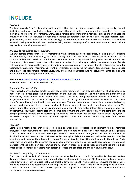#### *Feedback*

The term poverty 'trap' is troubling as it suggests that the trap can be avoided, whereas, in reality, market limitations and poverty reflect structural constraints that exist in the economy and that cannot be removed by individual, micro-level interventions. Stimulating female entrepreneurship requires, among other things: the provision of effective services by resource centres; cooperation between the different stakeholders (local governments, private industry and civil society); the creation of more business-based networks to support women in their paid and unpaid work; and sensitizing and encouraging men/husbands and women's organizations to provide an enabling environment.

#### *Answers to the guiding policy questions*

Dynamic female entrepreneurs are constrained by their limited business capabilities, including lack of initiative and confidence, poverty, illiteracy, lack of marketing skills, and poor financial and technical resources. This is compounded by their restricted time for work, as women are also responsible for unpaid care work in the house. Donors and policymakers could use existing resource centres to provide appropriate training and support female entrepreneurs to move up the value chain, while also encouraging men to support female entrepreneurship, for example, through gender training. Different interventions are required for specific target groups, such as poor and slightly less poor female entrepreneurs. Only a few female entrepreneurs will actually turn into gazelles who are able to generate employment for others.

#### Session 3: [Productive employment in segmented markets \(Kenya\)](http://www.includeplatform.net/downloads/interim-findings-productive-employment-segmented-markets/)

*Presenter:* Remco Oostendorp (researcher)

#### *Content of the presentation*

This research on 'Productive employment in segmented markets of fresh produce in Kenya', which is headed by Jane Mariara, investigates the segmentation of the avocado sector in Kenya by comparing modern and innovatively programmed value chains with more traditional, non-programmed modes of farming. The programmed value chain for avocado exports is characterized by direct links between the exporters and smallscale farmers through contracting and cooperatives. The non-programmed value chain is characterized by brokers buying produce directly from small-scale farmers who sell poor quality and low-yield products. The survey found that producers in the programmed chain benefit from better information, training, production, investment, productivity, income stability, income, employment and work satisfaction. At the same time, like the non-programmed farmers, they experience problems due to the governance of cooperatives, delays in payments, increased transport costs, uncertainty about rejection rates, and lack of negotiating power and market information.

#### *Feedback*

Using mixed method research results (including anthropological research to supplement the econometric analysis) to deconstructing the 'smallholder farm' and compare their practices with medium and large-scale farms can shed light on livelihood strategies. Research should look at the gender division of work and the distribution of resources at the local level, while identifying 'telephone farmers' (absentee farmers who live elsewhere and manage their farms by phone) for whom farming has little significance in their lives. While cooperatives are part of the programmed value chain, they are also a way to provide access to certification and markets for those in the non-programmed chain. However, there is a need to recognize that these are 'political' organizations controlled by actors with certain interests and are often afflicted by governance issue.

#### *Answers to the guiding policy questions*

Constraints such as lack of training, information, organization and credit for smallholder farmers hinders dynamic entrepreneurship from creating productive employment in this sector. MNOs, donors and policymakers should develop effective policies that move smallholder farmers up the value chain by removing the constraints, providing effective business-oriented training, and establishing stronger links between companies and small farmers. Different sized farms require specific and appropriate interventions and affordable individual certification should be considered.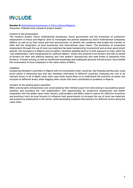Session 4: [Multinational businesses in Africa \(Kenya/Nigeria\)](http://includeplatform.net/wp-content/uploads/2016/05/Uche_interim-findings.pdf) *Presenter:* Chibuike Uche (research project leader)

#### *Content of the presentation*

The research project 'Dutch multinational businesses, Dutch government and the promotion of productive employment in Kenya and Nigeria' aims to investigate the policies adopted by Dutch multinational companies (MNCs), as well as by their home and host governments, to identify the conditions that enable the transfer of skills and the integration of local businesses into international value chains. The promotion of productive employment through the use of local raw materials has been hampered by inconsistent and unclear government policies, the insurgency in Nigeria and corruption. Heineken adopted tactics to limit exposure to risks, while the 'real stakeholders' were marginalized by 'political jobbers' (those who pretend to be farmers and talk on behalf of farmers for their own political reasons) and 'rent seekers' (bureaucrats who seek bribes or payments from farmers). Transfer pricing, as well as insufficient knowledge and inadequate physical infrastructure, have limited the involvement of local companies in the value chains of MNCs.

#### *Feedback*

Comparing Heineken's activities in Nigeria with its involvement other countries, like Rwanda and Burundi, could prove useful in theorizing how and why Heineken intervenes in different countries. Analysing the role of all relevant actors in an in-depth value chain case study would allow us to understand the practices of power and inclusion at different levels, while flagging other issues that have contributed to problems in Nigeria.

#### *Answers to the guiding policy questions*

MNCs and dynamic entrepreneurs are constrained by their limited scope from intervening in local political power relations and providing the 'real stakeholders' with opportunities for productive employment and better integration into the global value chain. Donors, policymakers and MNCs need to search for effective incentives and practices (such as local forums) to influence host governments to increase the use of local raw materials and productive employment in the sector, while developing targeted interventions for different actors along the value chain.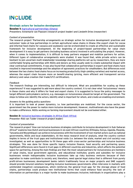#### Strategic actors for inclusive development

Session 1: [Agricultural partnerships \(Ghana\)](http://includeplatform.net/wp-content/uploads/2016/05/One-pager-Interim-findings-Agricultural-partnerships.pdf)

*Presenters:* Annemarie van Paassen (research project leader) and Liesbeth Dries (researcher)

#### *Content of presentation*

The research project 'Partnership arrangements as strategic action for inclusive development: practices and outcomes' looks at how partnerships in certain agricultural value chains in Ghana (the export chain for cocoa and informal food chains for cassava and soybeans) can be orchestrated to create an effective and sustainable framework for inclusive development. At the beginning of project-based partnerships for value chain development it is easy to get partners (including business actors) involved in articulating the project. However, when it comes to implementation, it is difficult to keep partners engaged and mobilize partners for action. Different types of collaborative arrangements were studied. It was found that, while private actors can be hesitant to join uncertain multi-stakeholder knowledge sharing platforms set up by researchers, they are more comfortable forging partnerships with NGOs and donors as they usually seek to create substantial impact with clear contractual commitments. It was also found that collaborative partnerships in export and food chains have resulted in improved knowledge and the adoption of agronomic practices for smallholders. But differences exist between the two chains: food chains focus on increasing productivity (high-yielding varieties) and market access, whereas the export chain focuses more on benefit-sharing (pricing, more efficient and transparent service delivery) and value creation (fair trade/UTZ certification).

#### *Feedback*

The research findings are interesting, but difficult to interpret. What are possibilities for scaling up these experiences? It was suggested to add more about the country context. It is not clear what 'inclusiveness' means in these chains and why it differs for food and export chains. It is suggested to focus the policy messages to target different policymakers (actors), e.g. messages on inclusiveness should be target at the government. The steps to follow are: identify the actors, identify what is important for whom, and create an enabling environment.

#### *Answers to the guiding policy questions*

It is important to look at power dynamics, i.e. how partnerships are mobilized. For the cocoa sector, the government has the power to realize more inclusive development. However, multinationals also have the power to make a difference. NGOs working on farming improvement should not be overlooked either.

#### Session 2: [Inclusive business strategies in Africa \(East Africa\)](http://includeplatform.net/downloads/inclusive-business-strategies-africa-interim-policy-reflections/)

*Presenter:* Rob van Tulder (research project leader)

#### *Content of presentation*

The research project 'How can inclusive business strategies contribute to inclusive development in Sub-Saharan Africa?' explores how Dutch and local businesses in six east African countries (Ethiopia, Kenya, Uganda, Rwanda, Tanzania and Mozambique) can achieve inclusiveness with the involvement of non-market actors such as national governments, NGOs and local stakeholders. At the meso research level of analysis, what the country context implies in terms of the trust gaps and institutional voids (i.e. between the state, market and civil society) was investigated, as well as opportunities to fill these gaps with cross-sector partnerships and inclusive business strategies. This was done for three specific topics: inclusive finance, food security and partnering space. Significant differences were found in trust gaps in different countries and industries, which affects the potential space for partnering. Among the main findings are that: the most valued partners for inclusiveness are members of value chains, local government agencies, and educational institutes; grants and subsidies for inclusive businesses remain indispensable; inclusive businesses take up risky business ventures because of their aspiration to make contribute to society and, therefore, need special legal status that is different from purely profit-driven businesses; development banks (which traditionally focus on major projects and SME support) should provide tenured solutions targeting inclusive businesses; governments often intervene in markets with unintended (negative) consequences, which reinforces the general trust gap; for the storage phase of food chains, partnerships could produce new institutional forms that could enhance food security; the lack of information on partnerships is a major hurdle to make businesses inclusive; individuals in organizations play a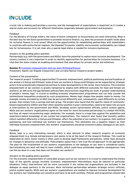crucial role in making partnerships a success; and the management of expectations is important as it creates a shared vision and accounts for different timeframes (especially between government and business).

#### *Feedback*

For the Ministry of Foreign Affairs, the views of Dutch companies on inclusiveness are most interesting. What is the best way for the Dutch government to promote inclusive finance, e.g. does the provision of public funds allow for inclusive finance in rural areas? What are the opportunities for establishing partnerships with stakeholders in countries with authoritarian regimes, like Rwanda? Economic stability and economic sustainability are indeed key for inclusiveness. It is not clear why a special legal status is needed for inclusive businesses.

#### *Answers to the guiding policy question*

Partnerships (e.g. with the government and NGOs) have the potential to realize more inclusive development. The country context is very important in order to identify opportunities for partnerships for inclusive business. It is vital that the state creates an enabling environment that also allows for private sector-led initiatives.

#### Session 3: [Economic empowerment and sex work \(Ethiopia/Kenya\)](http://includeplatform.net/wp-content/uploads/2016/05/One-pager-Interim-findings-Empowerment-and-sex-work.pdf)

*Presenters:* Naomi van Stapele (researcher) and Lorraine Nencel (research project leader).

#### *Content of the presentation*

The research project 'Creating opportunities? Economic empowerment, political positioning and participation of sex workers in Kenya and Ethiopia' looks at how sex workers in Kenya and Ethiopia can be supported by strategic actors to be economically empowered and how to make developments in the sector more inclusive. The economic empowerment of sex workers is greatly hampered by stigma (with different outcomes for male and female sex workers), as well as by the gap between policies/laws and practices regarding sex work. A greater understanding of people's 'money logic' is crucial to building economic empowerment programmes and can help counter the unintentional inequalities produced by such programmes. Money logic shapes how people relate to money. For example, money provided by an NGO may be perceived differently and, consequently, used differently by certain groups, than money from a savings and loan group. The project also found that the specific needs of communitybased organizations (CBOs) and their often sensitive position in poor communities, need to be taken into account in interventions by the government and NGOs. Strategic actors (government officials, justice system agents, NGOs and sex workers' organizations) agree on the need for more horizontal partnerships to combat HIV/AIDS, but they all report encountering major obstacles. For example, there is a huge bias against the qualitative and experience-based knowledge of sex worker-led organizations. The research also found that morality politics (which manifest differently in Kenya and Ethiopia), affect the potential of sex workers' to organize, their political positioning, and how individual sex workers see themselves. This ultimately has a negative impact on their individual economic empowerment. Sex workers' organizations should be involved in policy dialogue on sex work.

#### *Feedback*

Money logic is a very interesting concept, which is also relevant to other research projects on economic empowerment (e.g. female entrepreneurs) and seems to be at the heart of the research findings. This could be elaborated on more. Donor money is often used to develop legal frameworks and policies, rather than advocate for changes in behaviour and attitudes. Policymakers agree that a 'one-size-fits-all approach' is not appropriate. The plea for the involvement of sex workers' organizations in the dialogue on sex work is considered useful. Decriminalizing sex work will lead to more visibility, which could have unintended negative consequences. How can this be done in a way that does not threaten sex workers?

#### *Answers to the guiding policy question*

For the economic empowerment of vulnerable groups such as sex workers it is crucial to understand the money logic of the specific groups involved. Economic empowerment interventions must be tailored to particular situations. Policy interventions will be more successful if sex worker-led organizations are included in the dialogue as equal partners in the process. More horizontal partnerships between strategic actors (officials, justice system agents, NGOs and sex workers' organizations) are needed to improve inclusive development for sex workers, but relationships are sensitive and have to be built carefully. Policies and programmes should take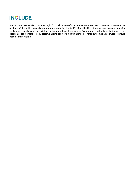into account sex workers' money logic for their successful economic empowerment. However, changing the attitude of the public towards sex work and reducing the (self-)stigmatization of sex workers remains a major challenge, regardless of the existing policies and legal frameworks. Programmes and policies to improve the position of sex workers (e.g. by decriminalizing sex work) risk unintended reverse outcomes as sex workers would become more visible.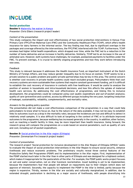#### Social protection

Session 1: [Maternity fee waiver in Kenya](http://includeplatform.net/wp-content/uploads/2016/05/One-pager-Interim-findings-Maternity-waiver-Kenya.pdf) *Presenter*: Chris Elbers (research project leader)

#### *Content of the presentation*

This study compares the impact and cost effectiveness of two social protection interventions in Kenya: Free Primary Care (FPC)/Free Maternal Care (FMC) and the Community Healthcare Plan (TCHP), which offers health insurance for dairy farmers in the informal sector. The key finding was that, due to significant overlaps in the packages and coverage offered by the interventions, the FPC/FMC interfered with the TCHP. Furthermore, TCHP enrolees had higher initial health expenditure, which dropped over time, while the FMC led to a reduction in the number of home deliveries and an increase in facility deliveries. Similarly, TCHP led to an increase in the use of antenatal care. However, both systems have challenges, for example, postponed payments to facilities under the FMC. To prevent overlaps, it is crucial to identify ongoing programmes and how they work before introducing new ones.

#### *Feedback*

This study is relevant because it addresses the Health Insurance Fund, an important instrument at the Dutch Ministry of Foreign Affairs, and may reduce gender inequality due to its focus on women. TCHP seems to be a private solution to a public problem and public-private partnerships may be key in this area. The central concern is whether cost recovery in private health systems could reach excluded groups. Policymakers think that cost recovery systems are more sustainable than systems that require constant government funding, yet it is difficult to establish the cost recovery of insurance in contexts with free healthcare. It would be useful to analyse the position of women in households and intra-household decisions, and how this affects the uptake of maternal health care services. By addressing the cost effectiveness of programmes, and linking this to inclusive development, the programmes could be compared using cost (public expenditure and out-of-pocket analysis), quality of care (preventive and curative), access by different groups including the very poor, targeting (reduction of leakage), sustainability, reliability, complementarity, and mortality rates.

#### *Answers to the guiding policy question*

The presentation did not make a cost effectiveness comparison of the programmes in a way that could help policymakers to know what to focus on. Due to the nature of the data available, it may not be easy to establish links to outcomes (such as a drop in the mortality rate), because the incidences are low and difficult to detect in relatively small samples. It is also difficult to look at targeting in the context of FMC or to attribute improved outcomes to the programme, because wellbeing has increased generally in the country. In addition, other factors, such as reaching a health facility in time, may be more important than health insurance. Going forward, the research group will compare the programmes on a scale based on several parameters, such as quality of care and cost, including out-of-pocket expenditure.

#### Session 2: [Social protection in the Afar region \(Ethiopia\)](http://includeplatform.net/wp-content/uploads/2016/05/One-pager-Interim-findings-SP-in-the-Afar-Region.pdf)

*Presenter*: Zeremariam Fre (research project leader)

#### *Content of presentation*

The research project 'Social protection for inclusive development in the Afar Region of Ethiopia (SPIDA)' seeks to evaluate the impact of social protection interventions in the Afar Region to ensure social security, enhance livelihoods and reduce economic problems. The preliminary results reveal three central features of the Productive Safety Net Programme (PSNP) and its implementation in the Afar region. First, implementation of the PSNP started much later in the Afar than in other parts of Ethiopia and was designed for a highland context, which makes it inappropriate for the pastoralists of the Afar. For example, the PSNP public works project focuses on soil and water conservation, not on Afar livestock reorientation. Asset building is yet to be implemented, because the implementers fear that people will default on repayments due to their religion (which does not approve of interest). Secondly, the capacity to implement the PSNP in the Afar is limited, partly because the region is expansive. Thirdly, women in the Afar are socially and culturally marginalized. In addition, due to extended drought, pastoralism is declining as a major source of livelihoods, with people diversifying into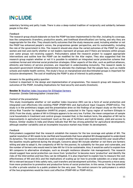sedentary farming and petty trade. There is also a deep-rooted tradition of reciprocity and solidarity between people in the Afar.

#### *Feedback*

The research group should elaborate on how the PSNP has been implemented in the Afar, including its coverage, how the components (transfers, productive assets, and livelihood diversification) are faring, and why they are inappropriate for the Afar. They should clarify outcomes that the study measures used, including whether or not the PNSP has enhanced people's voices, the programmes gender perspective, and its sustainability, including the role of the government in this. The research should also show the varied outcomes of the PSNP for youth, women and men and clarify whether or not leaders represent all groups and if there are tensions within groups over some groups not receiving support. Policymakers asked the research project to suggest appropriate interventions and outline how the PSNP can be modified for the Afar region. They also suggested that the research group explain whether or not it is possible to establish an integrated social protection scheme that combines formal and informal social protection strategies. Other aspects of the Afar, such as political alliances, ethnicity and history of service provision, are important in understanding inclusivity. The research needs to document government initiatives implemented to alleviate the challenges that the people face, such as mobile schools and mobile health centres. The study's focus on marginalized and discriminated groups is important for inclusive development. The cost of modifying the PSNP is also of interest to policymakers.

#### *Answers to the guiding policy question*

Context is important in the design and implementation of programmes. The research group will measure the outcomes of the PSNP, including implications for food security and assets (livestock).

### **Session 3: [Weather index insurance for Ethiopian farmers](http://includeplatform.net/research-group/cost-effectiveness-integrating-weather-index-agricultural-insurance-productive-safety-net-program-ethiopia/)**

*Presenter*: Zenebe Gebreegziabher (researcher)

#### *Content of the presentation*

This study investigates whether or not weather index insurance (WII) can be a form of social protection and integrated cost effectively into existing PSNP (PSNP+WII) and Agricultural Input Coupons (PSNP+AICs). The study is in the preliminary stages and the presentation drew on the findings of an impact study on the Horn of Africa Risk Transfer for Adaptation (HARITA) project, conducted in the Tigray region of northern Ethiopia in 2015. From the study, uptake of WII in Ethiopia appears to be very low. Further, the mean comparison of sample rural households in treatment and control groups revealed that, in the medium term, the adoption of WII led to improvements in agricultural investment (such as the use of fertilizers and hybrid seeds), yield and access to finance. Similar studies in India and Ghana indicate that WII has strong potential for agricultural development, although weather variability and an incomplete insurance market may hinder its development.

#### *Feedback*

Policymakers suggested that the research establish the reasons for the low coverage and uptake of WII. The spatial resolution of WII needs to be clarified and households that have adopted WII disaggregated to understand its dynamics. The research should also seek to explain whether the good rains experienced this year would affect the baseline results gathered during the drought. Concerns about WII include whether or not there are farmers willing and able to adopt it, the complexity of WII for the poorest, its suitability for the poor and vulnerable, and the number of farmers who would need to take WII for it to be sustainable. Also, it would be useful to explain how WII compares to alternative strategies, such as drought resilience (disaster risk management). The research should suggest how social protection can move from 'protective' to become more 'productive' and identify the risks of the intervention and how they can be mitigated. It is also important to explain how to measure the cost effectiveness of WII and AICs and the implications of scaling up (or how to provide subsidies on a large scale). WII is relevant because it links safety nets, cash transfers and development activities. This presents a move away from more protective to promotive and productive forms of social protection. In this sense, it has the potential to offer a private solution to a public problem for the very poor. The central concern for policymakers is which of the two programmes would be more cost effective (PSNP+WII or PSNP+AICs).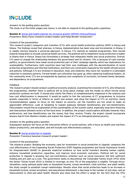*Answers to the guiding policy question*  The study is at the initial stages and, hence, is not able to respond to the guiding policy questions.

Session 4: [Social and health policies for inclusive growth \(SPHIG\) \(Kenya/Ghana\)](http://includeplatform.net/wp-content/uploads/2016/05/Pouw_interim-findings.pdf) *Presenters*: Nicky Pouw (research project leader) and Katja Bender (researcher)

#### *Content of the presentation*

This research project compared cash transfers (CTs) with social health protection policies (SHP) in Kenya and Ghana. The findings reveal that whereas, in Kenya, implementation has been slow and incremental, in Ghana, it is rapidly moving towards a universal approach. In Kenya, CTs started as isolated programmes, then moved towards integration to include universal health services. The political will to implement social protection is higher in Ghana than in Kenya. Ghana has formulated a strategy that integrates health and social protection. Overall, CTs seem to change the relationship between the government and its citizens. This is because of cash transfer politics, as governments have made social protection part of their campaign agenda, which has implications for sustainability. Furthermore, both countries have had their own challenges with the decentralization of social protection programmes and informal institutions, and there are constraints imposed by the health infrastructure and policies. Although CTs are invested in education, food, and medicine, they have not resulted in a noticeable reduction in monetary poverty. Formal health care utilization has gone up, often replacing traditional healers. At the community level, CTs are accompanied by jealousy and complaints of exclusion, increased family demands, and dependency on programmes.

#### *Feedback*

The research project should conduct a political economy analysis, examining the evolution of CTs, who influences the programmes, whether there is political will to bring about change, and the model on which formal social protection systems are built. It should also clarify the theory of complementarity employed in the analysis and how cost effectiveness is measured. It would be useful to link the outcomes of CT programmes to inclusive growth, especially in terms of effects on youth and women, and show the impact of CTs on nutrition. Some recommendations appear to focus on the impact on poverty, yet the transfers are too small to make an appreciable difference. Look at targeting to explain jealously between beneficiaries and non-beneficiaries. Policymakers would find an explanation of the sustainability of the system useful, especially long-term financing and interactions between actors at the local level. In addition, the project could explore attitudes towards risks, preferences, and how beneficiaries use the money that they receive. Finally, the project should incorporate lessons learnt from Western models and explain the impact of CTs on intergenerational poverty.

#### *Answers to the guiding policy question*

Subsequent analysis will focus on the interaction effects of social policies, with a focus on health and nutrition, labour productivity, and education, and will include cost effectiveness analysis.

#### Session 5: [Social protection in Uganda](http://includeplatform.net/wp-content/uploads/2016/05/One-pager-Interim-findings-SP-in-Uganda.pdf)

*Presenter*: Franzisca Gassman (research project leader)

#### *Content of the presentation*

The research project 'Building the economic case for investment in social protection in Uganda' compares the cost effectiveness of the Expanding Social Protection (ESP) flagship programme and Social Assistance Grants for Empowerment (SAGE) to generate empirical evidence on how social transfers develop human capital, enhance household productive capacities, and improve local economic outcomes. Political will for social protection in Uganda is growing, but non-contributory schemes such as social insurance still lack sufficient funding and are seen as a cost. The government seeks to discontinue the Vulnerable Family Grant (VFG) while the Senior Citizen Grant (SCG) is limited in coverage, as only 7% of the population is eligible. Through microsimulation, using national panel data on household income, school enrolment, child nutrition, and adult health, the study sought to establish causal relationships. Results show that social protection leads to an increase in household income, school enrolment, and educational attainment, a decrease in the number of sick days, and an improvement in child and adult health. Results also show that the effect is larger for the SCG than the VFG;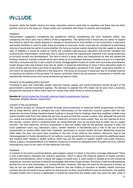however, while the health returns are large, education returns need time to manifest and there may be other positive returns in the long run. These results are consistent with those in Lesotho and Cambodia.

#### *Feedback*

Policymakers suggested considering the equilibrium effects, establishing the local multiplier effect, and comparing the micro and macro effects of the programmes. The opined that it would also be useful to explain the extent to which the results depend on changes in infrastructure, and whether or not investment in education and health facilities is need to make them accessible to everyone. Scale could also be considered in estimating returns. It would also be useful to know whether the focus on human capital should be from the supply or demand side. In addition, it would be useful to clarify the variables used because education and income variables are controversial. Policymakers would also find it useful to know the transmission channels from social protection to inclusive growth and development. The rate of return is large, which has implications for who will uptake the findings. However, transfers should not be seen solely as an investment, because if people are poor it is important that they consume and this is not a waste of funds. Disaggregated results for urban and rural areas and between target groups (men and women) may also be useful. It would be interesting to know if more education leads to extra income and the return per level of education. Policymakers wondered if the model could show whether or not return on education is effective in the long term. The focus on inclusion is important due to renewed interest in reaching the bottom of the pyramid. For donors, priorities need to be set because investments in (health and educational) infrastructure and social protection go hand-in-hand.

#### *Answers to the guiding policy question*

Investing in poor and vulnerable people improves human capital, and social protection should be part of the government's overall investment agenda. The decision to abolish the VFG might not be wise from a business perspective, because it offers more value for money than other forms of social protection.

#### Session 6: [Social protection through maternal health programmes \(Kenya\)](http://includeplatform.net/wp-content/uploads/2016/05/One-pager-Interim-findings-Health-programmes.pdf)

*Presenter:* Stephen Okumu (researcher)

#### *Content of the presentation*

The research project on 'Inclusive growth through social protection in maternal health programmes in Kenya', led by Sonja Merten, aims to compare the cost effectiveness of the maternity voucher system with the free maternity services scheme (taxation-based funding) in Kenya. Interim findings show that wealthier middle-class women benefit most from free maternity services as well as from the voucher system. And, although the poorest (i.e. young and unmarried) women access free maternity services to some extent, they are not reached at all by the voucher system, which is targeting them, as, being illiterate, they do not know how to make use of a paper voucher. The free maternity services programme is also not widely used by the poorest, because it does not cover additional costs (e.g. laboratory costs). Gender relations in households play a role in the use of these programmes as women often need their husbands' permission to access health services. Mobilizing resources often takes the poor too much time, resulting in the loss of the child (or the mother). Moreover, due to the mismanagement of funds (devolution of corruption), county governments have not created the additional space and medical staff needed in health centres, which has put the quality of (public) health care under pressure. Hence, a policy recommendation is to mobilize resources to ensure an adequate level of quality services, without externalizing costs to the users of free maternity services.

#### *Feedback*

In relation to the policy recommendation, policymakers asked: To whom is the policy message addressed? There is also a discrepancy between the research questions, which is about the financial aspects of health systems, and the recommendation, which is about the supply of health care. A clear outline is needed as to who should be targeted by vouchers and how to identify and engage with these target groups. Practices in Mali and Mozambique include the use of new technology, i.e. texting the poor. However, this may not work for the poorest in Kenya, as they do not use mobile phones. Additional research into the trading of vouchers is needed. Health insurance systems also do not seem to be an option for the poorest, as they cannot afford to pay the premiums. The quality of public health care in Kenya is deplorable. It should be noted that the middle class may push the poor aside in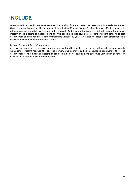free or subsidized health care schemes when the quality of care increases, as research in Indonesia has shown. About the effectiveness of the schemes: It is not clear if 'effectiveness' refers to cost effectiveness or to outcomes (e.g. attended deliveries, human lives saved). And, if cost effectiveness is intended, a methodological problem arises in terms of measurement: the two specific policies studied are of rather recent date, while cost effectiveness analysis requires a longer timeframe (at least 10 years). It is also not clear if cost effectiveness is assessed at the household or individual level.

#### *Answers to the guiding policy question*

In Kenya, free maternity systems are more expensive than the voucher system, but neither scheme (particularly the voucher system) reaches the poorest women, who cannot pay health insurance premiums either. The effectiveness of the different systems in promoting inclusive development outcomes very much depends on political and economic institutional contexts.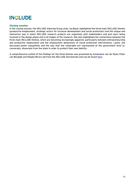#### Closing session

In the closing session, the INCLUDE Steering Group chair, Isa Baud, highlighted the three main INCLUDE themes (productive employment, strategic actors for inclusive development and social protection) and the unique and interactive way in which INCLUDE research projects are organized, with stakeholders and end users being involved in the design phase and in all stages of the research. She also highlighted the connections between the three main INCLUDE themes, which are becoming increasingly apparent, particularly between entrepreneurship and productive employment and the employment dimensions of social protection interventions. Lastly, she discussed power inequalities and the way that the vulnerable are represented at the government level or, conversely, dissociate from the state in order to protect their own identity.

A comprehensive outline of the findings for the three themes was presented by Annemarie van de Vijsel, Peter van Bergeijk and Obadia Miroro (all from the INCLUDE Secretariat) and can be found [here.](http://includeplatform.net/research-policy-dialogue-highlights-importance-partnerships-knowledge-sharing-inclusive-development/)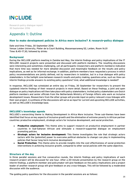Research-policy dialogue report 30 September 2016

### Appendix 1: Outline

#### How to make development policies in Africa more inclusive? A research-policy dialogue

Date and time: Friday, 30 September 2016 Venue: Leiden University, Pieter de la Court Building, Wassenaarseweg 52, Leiden, Room 1A.01 Time: 8.45–17.30, followed by drinks

#### **Background**

During the INCLUDE platform meeting in Zambia last May, the interim findings and policy implications of the 17 INCLUDE research projects were presented and discussed with platform members. The resulting discussions were interesting and sometimes challenging, yet all participants (researchers and platform members) indicated that more time was needed for more detailed discussion and meaningful feedback on the results and policy implications, as well as for informal exchange. In addition, platform members have requested a process in which policy recommendations are jointly defined, not by researchers in isolation, but in a true dialogue with policy stakeholders. In the twilight zone between research results and policy making, questions arise, such as: How can interim findings provide answers to existing policy questions? And, what additional knowledge is needed?

In response, INCLUDE has scheduled an entire day on Friday, 30 September for researchers to present the (updated) interim findings of their research projects in more detail. Based on these findings, a joint and open dialogue on policy implications will then take place with policy stakeholders. Invited policy stakeholders are Dutch platform members and senior officials from the Netherlands Ministry of Foreign Affairs who work on inclusive development issues. Researchers from the other groups will provide input on policy-relevant cross-linkages with their own project. A synthesis of the discussions will serve as input for current and upcoming INCLUDE activities, as well as INCLUDE's knowledge base.

#### INCLUDE's knowledge agenda

INCLUDE's overarching theme is: Making Development in Africa More Inclusive. Three sub-themes have been identified that focus on key aspects of inclusive growth and the elimination of extreme poverty in African partner countries: productive employment, strategic actors for inclusive development, and social protection.

- Productive employment: This theme aims to support research on productive employment in partner countries in Sub-Saharan African and stimulate a research-supported dialogue on employment promoting policies.
- Strategic actors for inclusive development: This theme investigates the role that strategic actors (actors with the [potential] power to overcome political obstacles to change) can play in implementing policies that favour long-term inclusive development.
- **Social Protection:** This theme aims to provide insights into the cost effectiveness of social protection interventions in achieving inclusive growth, compared to other social policies with the same objective.

#### Structure of the day

In three parallel sessions and five consecutive rounds, the interim findings and policy implications of each research project will be discussed for one hour. After a 20-minute presentation by the research group on the interim findings, a platform member and policymaker will give feedback on the policy implications and a project leader of another research group will give feedback on any cross-linkages. This will be followed by a moderated discussion with the audience.

The guiding policy questions for the discussion in the parallel sessions are as follows: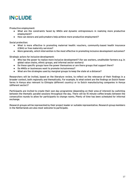Productive employment:

- What are the constraints faced by MNOs and dynamic entrepreneurs in realizing more productive employment?
- How can donors and policymakers help achieve more productive employment?

Social protection:

- What is more effective in promoting maternal health: vouchers, community-based health insurance (CBHI) or free maternity services?
- More generally, which intervention is the most effective in promoting inclusive development outcomes?

Strategic actors for inclusive development:

- Who has the power to realize more inclusive development? (for sex workers, smallholder farmers e.g. in global value chains, ethnic groups, and informal sector workers)
- Do these specific groups have the power themselves or are there groups that support them?
- Do MNOs or businesses want to promote inclusiveness?
- What are the strategies used by marginal groups to keep the state at a distance?

Researchers will be invited, based on the literature review, to reflect on the relevance of their findings in a broader context, both regionally and thematically. For example, to what extent are the findings on Dutch flower farms in Kenya also relevant to Ethiopia (different country) or to Dutch manufacturing companies in Kenya (different sector)?

Participants are invited to create their own day programme (depending on their area of interest) by switching between the thematic parallel sessions throughout the day. There will be 15 minute coffee breaks between the consecutive rounds to allow for participants to change rooms. Plenty of time has been scheduled for informal exchange.

Research groups will be represented by their project leader or suitable representative. Research group members in the Netherlands are also most welcome to participate.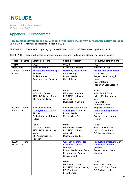Research-policy dialogue report 30 September 2016

### Appendix 2: Programme

#### How to make development policies in Africa more inclusive? A research-policy dialogue 08.45–09.15 Arrival and registration (Room 1A.01)

09.15–09.30 Welcome and opening by Isa Baud, Chair of INCLUDE Steering Group (Room 1A.01)

09.30–17.00 Break-out sessions: presentation of research findings and dialogue with policymakers

| Research theme     |                         | Strategic actors                                                                                                                                                                                                   | Social protection                                                                                                                                                                                                                                       | Productive employment                                                                                                                                                                                  |
|--------------------|-------------------------|--------------------------------------------------------------------------------------------------------------------------------------------------------------------------------------------------------------------|---------------------------------------------------------------------------------------------------------------------------------------------------------------------------------------------------------------------------------------------------------|--------------------------------------------------------------------------------------------------------------------------------------------------------------------------------------------------------|
| Room               |                         | 1A.37                                                                                                                                                                                                              | 0A.33                                                                                                                                                                                                                                                   | 1A.01                                                                                                                                                                                                  |
| Moderator          |                         | Karin Nijenhuis                                                                                                                                                                                                    | Frank van Kesteren                                                                                                                                                                                                                                      | Marleen Dekker                                                                                                                                                                                         |
| 09.30-<br>10.30    | Round 1                 | <b>Agricultural partnerships</b><br>(Ghana)<br>Project leader:<br>Annemarie van Paassen                                                                                                                            | Maternity fee waiver in<br>Kenya (Kenya)<br>Project leader:<br><b>Chris Elbers</b>                                                                                                                                                                      | <b>Feeder road development</b><br>(Ethiopia)<br>Project leader: Maggi<br>Leung<br>Presentation:<br>Frank van Steenbergen                                                                               |
|                    |                         | Panel<br><b>MFA: Otto Genee</b><br><b>INCLUDE: Dennis Arends</b><br>RC: Rob van Tulder                                                                                                                             | Panel<br><b>MFA: Louise Anten</b><br><b>INCLUDE: Nicholas</b><br>Awortwi<br>RC: Stephen Okumu                                                                                                                                                           | Panel<br><b>MFA: Anouk Baron</b><br><b>INCLUDE: Roel van der</b><br>Veen<br>RC: Zenebe<br>Gebreegziabher                                                                                               |
| $10.45 -$<br>11.45 | Round<br>$\overline{2}$ | <b>Inclusive business</b><br>strategies in Africa (East<br>Africa)<br>Project leader: Rob van<br>Tulder<br>Panel<br><b>MFA: Otto Genee</b><br><b>INCLUDE: Roel van der</b><br>Veen<br>RC: Annemarie van<br>Paassen | Social protection in the<br>Afar region (Ethiopia)<br>Project leader:<br>Zeremariam Fre<br>Panel<br><b>MFA: Anke van Dam</b><br><b>INCLUDE: Nicholas</b><br>Awortwi<br><b>RC: Morag Goodwin</b>                                                         | <b>Empowering female</b><br><b>Ugandan entrepreneurs</b><br>(Uganda)<br>Project leader: Henny<br>Romijn<br>Panel<br><b>MFA: Louise Anten</b><br><b>INCLUDE: Isa Baud</b><br><b>RC: Lorraine Nencel</b> |
| $12.00 -$<br>13.00 | Round<br>3              |                                                                                                                                                                                                                    | <b>Weather insurance for</b><br><b>Ethiopian farmers</b><br>(Ethiopia)<br>Project leader: Alex Wong<br><b>Presentation: Zenebe</b><br>Gebreegziabher<br>Panel<br>MFA: Wilma van Esch<br><b>INCLUDE: Harrie Oostingh</b><br>RC: Frank van<br>Steenbergen | <b>Productive employment in</b><br>segmented markets<br>(Kenya)<br>Project leader: Jane<br>Mariara<br>Panel<br>MFA: Melle Leenstra<br><b>INCLUDE: Erwin Bulte</b><br>RC: Chibuike Uche                 |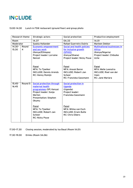#### 13.00–14.30 Lunch in FSW restaurant (ground floor) and group photo

| Research theme |         | Strategic actors                                  | Social protection           | Productive employment              |
|----------------|---------|---------------------------------------------------|-----------------------------|------------------------------------|
| Room           |         | 1A.37                                             | 0A.33                       | 1A.01                              |
| Moderator      |         | Saskia Hollander                                  | Rafael Guerreiro Osório     | Marleen Dekker                     |
| $14.30 -$      | Round   | Economic empowerment                              | Social and health policies  | <b>Multinational businesses in</b> |
| 15.30          | 4       | and sex work                                      | for inclusive growth        | <b>Africa</b>                      |
|                |         | (Kenya/Ethiopia)                                  | (SPHIG)                     | (Kenya/Nigeria)                    |
|                |         | Project leader: Lorraine                          | (Kenya/Ghana)               | Project leader: Chibuike           |
|                |         | Nencel                                            | Project leader: Nicky Pouw  | Uche                               |
|                |         |                                                   |                             |                                    |
|                |         | Panel                                             | Panel                       | Panel                              |
|                |         |                                                   | <b>MFA: Anouk Baron</b>     | <b>MFA: Melle Leenstra</b>         |
|                |         | MFA: To Tjoelker<br><b>INCLUDE: Dennis Arends</b> | <b>INCLUDE: Robert-Jan</b>  | <b>INCLUDE: Roel van der</b>       |
|                |         |                                                   | <b>Scheer</b>               | Veen                               |
|                |         | RC: Henny Romijn                                  | RC: Franziska Gassmann      | RC: Jane Mariara                   |
|                |         |                                                   |                             |                                    |
| $15.45 -$      | Round 5 | Social protection through                         | Social protection in        |                                    |
| 16.45          |         | maternal health                                   | <b>Uganda</b>               |                                    |
|                |         | programmes (SP; Kenya)                            | (Uganda)                    |                                    |
|                |         | Project leader: Sonja                             | Project leader:             |                                    |
|                |         | Merten                                            | Franziska Gassmann          |                                    |
|                |         | <b>Presentation: Stephen</b>                      |                             |                                    |
|                |         | Okumu                                             |                             |                                    |
|                |         |                                                   |                             |                                    |
|                |         | Panel                                             | Panel                       |                                    |
|                |         | MFA: To Tjoelker                                  | <b>MFA: Wilma van Esch</b>  |                                    |
|                |         | <b>INCLUDE: Robert-Jan</b>                        | <b>INCLUDE: Erwin Bulte</b> |                                    |
|                |         | <b>Scheer</b>                                     | <b>RC: Chris Elbers</b>     |                                    |
|                |         | <b>RC: Nicky Pouw</b>                             |                             |                                    |
|                |         |                                                   |                             |                                    |

17.00–17.30 Closing session, moderated by Isa Baud (Room 1A.01)

17.30–19.00 Drinks (Room 3A.06)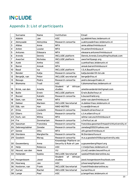### Appendix 3: List of participants

|              | Surname         | Name            | Institution                                            | Email                                     |
|--------------|-----------------|-----------------|--------------------------------------------------------|-------------------------------------------|
| $\mathbf{1}$ | Abbink          | Jan             | <b>ASC</b>                                             | g.j.abbink@asc.leidenuniv.nl              |
| 2            | Akinyoade       | Akinyinka       | Research consortia                                     | a.akinyoade@asc.leidenuniv.nl             |
| 3            | <b>Alblas</b>   | Anne            | <b>MFA</b>                                             | anne.alblas@minbuza.nl                    |
| 4            | Anten           | Louise          | <b>MFA</b>                                             | Im.anten@minbuza.nl                       |
| 5            | Antunes         | Eléasara        | <b>MFA</b>                                             | eleasara.antunes@minbuza.nl               |
| 6            | Arends          | Dennis          | <b>INCLUDE</b> platform                                | Dennis.Arends.Consulting@outlook.com      |
| 7            | Awortwi         | <b>Nicholas</b> | <b>INCLUDE</b> platform                                | awortwi@pasgr.org                         |
| 8            | Azeb            | Amha            | <b>ASC</b>                                             | a.amha@asc.leidenuniv.nl                  |
| 9            | Baron           | Anouk           | <b>MFA</b>                                             | anouk.baron@minbuza.nl                    |
| 10           | <b>Baud</b>     | Isa             | <b>INCLUDE</b> platform                                | I.S.A.Baud@uva.nl                         |
| 11           | <b>Bender</b>   | Katja           | Research consortia                                     | katja.bender@h-brs.de                     |
| 12           | Bergeijk, van   | Peter           | <b>INCLUDE</b> secretariat                             | bergeijk@iss.nl                           |
| 13           | <b>Besugo</b>   | Pedro           | Research consortia                                     | pedro.besugo@nabc.nl                      |
| 14           | <b>Blomsma</b>  | Trudi           | <b>ASC</b>                                             | t.blomsma@asc.leidenuniv.nl               |
|              |                 |                 | Student<br>$\overline{of}$<br>African                  |                                           |
| 15           | Brink, van den  | Amelie          | studies                                                | amelievandenbrink@gmail.com               |
| 16           | <b>Bulte</b>    | Erwin           | <b>INCLUDE</b> platform                                | Erwin.Bulte@wur.nl                        |
| 17           | <b>Buzasi</b>   | Katalin         | Research consortia                                     | k.buzasi@aiid.org                         |
| 18           | Dam, van        | Anke            | <b>MFA</b>                                             | anke-van.dam@minbuza.nl                   |
| 19           | Dekker          | Marleen         | <b>INCLUDE Secretariat</b>                             | m.dekker@asc.leidenuniv.nl                |
| 20           | Dijk, van       | Han             | NWO-WOTRO                                              | h.vandijk@nwo.nl                          |
| 21           | <b>Dries</b>    | Liesbeth        | Research consortia                                     | liesbeth.dries@wur.nl                     |
| 22           | <b>Elbers</b>   | Chris           | Research consortia                                     | c.t.m.elbers@vu.nl                        |
| 23           | Esch, van       | Wilma           | <b>MFA</b>                                             | wilma-van.esch@minbuza.nl                 |
| 24           | Fre             | Zeremariam      | Research consortia                                     | z.fre@ucl.ac.uk                           |
| 25           | Gassman         | Franziska       | Research consortia                                     | franziska.gassman@maastrichtuniversity.nl |
| 26           | Gebreegziabher  | Zenebe          | Research consortia                                     | zenebeg2002@yahoo.com                     |
| 27           | Genee           | Otto            | <b>MFA</b>                                             | oth.genee@minbuza.nl                      |
| 28           | Giordano        | Margherita      | Research consortia                                     | M.Giordano@uva.nl                         |
| 29           | Goodwin         | Morag           | Research consortia                                     | m.e.a.goodwin@tilburguniversity.edu       |
|              |                 |                 | Knowledge Platform on                                  |                                           |
| 30           | Gouwenberg      | Anna            | Security & Rule of Law                                 | a.gouwenberg@kpsrl.org                    |
| 31           | Heijs           | Rebecca         | <b>ASC</b>                                             | r.t.heijs@asc.leidenuniv.nl               |
| 32           | Heuvel, van den | Henk            | VU                                                     | j.h.m2.vanden.heuvel@vu.nl                |
| 33           | Hollander       | Saskia          | <b>INCLUDE Secretariat</b><br>Student<br>of<br>African | saskia@thebrokeronline.eu;                |
| 34           | Hoogenboom      | Joost           | studies                                                | joost.hoogenboom@outlook.com              |
| 35           | Hoorweg         | Jan             | <b>ASC</b>                                             | jchoorweg@gmail.com                       |
| 36           | Kesteren, van   | Frank           | <b>INCLUDE Secretariat</b>                             | frank@thebrokeronline.eu                  |
| 37           | Kurian          | Rachel          | <b>INCLUDE Secretariat</b>                             | kurian@iss.nl                             |
| 38           | Lange           | Paul            | <b>ASC</b>                                             | p.lange@asc.leidenuniv.nl                 |
|              |                 |                 |                                                        |                                           |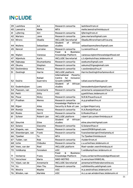| 39   | Lashitew         | AA                  | Research consortia                                                      | lashitew@rsm.nl                     |
|------|------------------|---------------------|-------------------------------------------------------------------------|-------------------------------------|
| 40   | Leenstra         | Melle               | <b>MFA</b>                                                              | melle.leenstra@minbuza.nl           |
| 41   | Lijfering        | Siri                | Research consortia                                                      | lijfering@rsm.nl                    |
| 42   | Mariara          | Jane                | Research consortia                                                      | jane.mariara@gmail.com              |
| 43   | Miroro           | Obadia              | <b>INCLUDE Secretariat</b>                                              | Obadia.Miroro@aercafrica.org        |
| 44   | <b>Mullens</b>   | Sebastiaan          | Student<br>of<br>African<br>studies                                     | sebastiaanmullens@gmail.com         |
| 45   | Nencel           | Lorraine            | Research consortia                                                      | l.s.nencel@vu.nl                    |
| 46   | Nigten           | Vanessa             | &<br><b>Business</b><br>Food<br>Knowledge Platform                      | vanessa.nigten@knowledge4food.net   |
| 47   | Nijenhuis        | Karin               | <b>INCLUDE Secretariat</b>                                              | c.t.nijenhuis@asc.leidenuniv.nl     |
| 48   | Ogbuagu          | Ekumankama          | Research consortia                                                      | ooekums@gmail.com                   |
| 49   | Okumu            | Stephen             | Research consortia                                                      | sokumu2@googlemail.com              |
| 50   | Oostendorp       | Remco               | Research consortia                                                      | r.oostendorp@vu.nl                  |
| 51   | Oostingh         | Harrie              | <b>INCLUDE</b> platform                                                 | Harrie.Oostingh@oxfamnovib.nl       |
| 52   | Osório           | Rafael<br>Guerreiro | International<br>Poverty<br>Centre<br>for<br>Inclusive<br>Growth (UNDP) | rafael.osorio@ipea.gov.br           |
| 53   | Oudenhuijsen     | Loes                | Student<br>African<br>of<br>studies                                     | loesoudenhuijsen@gmail.com          |
| 54   | Paassen, van     | Annemarie           | Research consortia                                                      | annemarie.vanpaassen@wur.nl         |
| 55   | Petit            | Gitty               | <b>ASC</b>                                                              | g.petit@asc.leidenuniv.nl           |
| 56   | Pouw             | Nicky               | Research consortia                                                      | N.R.M.Pouw@uva.nl                   |
| 57   | Pradhan          | Menno               | Research consortia                                                      | m.p.pradhan@vu.nl                   |
|      |                  |                     | Knowledge Platform on                                                   |                                     |
| 58   | Rijper           | <b>Alies</b>        | Security & Rule of Law                                                  | a.rijper@kpsrl.org                  |
| 59   | Romijn           | Henny<br>Gerrit     | Research consortia                                                      | H.A.Romijn@tue.nl<br>G.Rooks@tue.nl |
| 60   | Rooks            |                     | Research consortia                                                      |                                     |
| 61   | Scheer           | Robert-Jan          | <b>INCLUDE</b> platform<br>African<br><b>Student</b><br>of              | robert-jan.scheer@minbuza.nl        |
| 62 I | Sleurink         | Eline               | studies                                                                 | eline.sleurink@gmail.com            |
| 63   | Solano           | Giacomo             | Research consortia                                                      | G.Solano@tue.nl                     |
| 64   | Stapele, van     | Naomi               | Research consortia                                                      | naomi2908@gmail.com                 |
| 65   | Steenbergen, van | Frank               | Research consortia                                                      | fvansteenbergen@metameta.nl         |
| 66   | Tjoelker         | To                  | <b>MFA</b>                                                              | To.Tjoelker@minbuza.nl              |
| 67   | Tulder, van      | Rob                 | Research consortia                                                      | rtulder@rsm.nl                      |
| 68   | Uche             | Chibuike            | Research consortia                                                      | c.u.uche@asc.leidenuniv.nl          |
| 69   | Veen, van der    | Roel                | <b>INCLUDE platform</b>                                                 | Roel-vander.veen@minbuza.nl         |
| 70   | Veldkamp         | Fenneken            | <b>ASC</b>                                                              | f.veldkamp@asc.leidenuniv.nl        |
| 71   | Verberne         | Frans               | <b>Business</b><br>Food<br>δ.<br>Knowledge Platform                     | frans.verberne@knowledge4food.net   |
| 72   | Verschoor        | Maria               | NWO-WOTRO                                                               | m.verschoor@NWO.NL                  |
| 73   | Vijsel, van de   | Annemarie           | <b>INCLUDE Secretariat</b>                                              | annemarie@thebrokeronline.eu        |
| 74   | Vu               | Hien Thu            | Research consortia                                                      | vuthihienthu.ueb@gmail.com          |
| 75   | Westra           | Maaike              | <b>ASC</b>                                                              | m.a.westra@asc.leidenuniv.nl        |
| 76   | Winden, van      | Marieke             | <b>ASC</b>                                                              | m.c.a.van.winden@asc.leidenuniv.nl  |